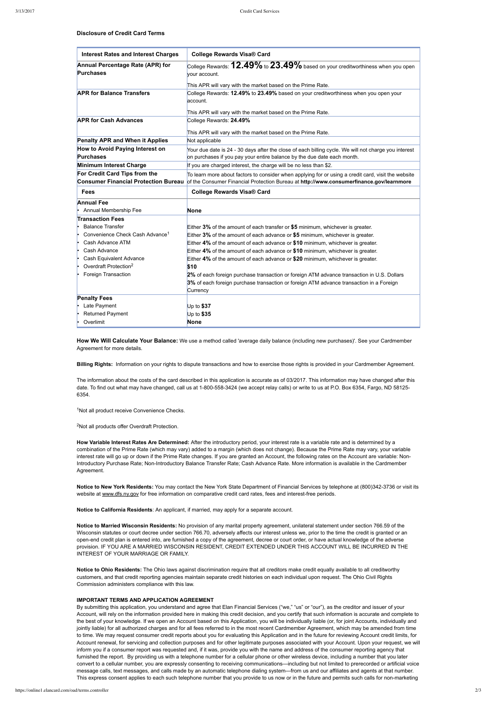**Disclosure of Credit Card Terms**

**Notice to New York Residents:** You may contact the New York State Department of Financial Services by telephone at (800)3423736 or visit its website at [www.dfs.ny.gov](http://www.dfs.ny.gov/) for free information on comparative credit card rates, fees and interest-free periods.

**How We Will Calculate Your Balance:** We use a method called 'average daily balance (including new purchases)'. See your Cardmember Agreement for more details.

**Billing Rights:** Information on your rights to dispute transactions and how to exercise those rights is provided in your Cardmember Agreement.

Notice to Ohio Residents: The Ohio laws against discrimination require that all creditors make credit equally available to all creditworthy customers, and that credit reporting agencies maintain separate credit histories on each individual upon request. The Ohio Civil Rights Commission administers compliance with this law.

By submitting this application, you understand and agree that Elan Financial Services ("we," "us" or "our"), as the creditor and issuer of your Account, will rely on the information provided here in making this credit decision, and you certify that such information is accurate and complete to the best of your knowledge. If we open an Account based on this Application, you will be individually liable (or, for joint Accounts, individually and jointly liable) for all authorized charges and for all fees referred to in the most recent Cardmember Agreement, which may be amended from time to time. We may request consumer credit reports about you for evaluating this Application and in the future for reviewing Account credit limits, for Account renewal, for servicing and collection purposes and for other legitimate purposes associated with your Account. Upon your request, we will inform you if a consumer report was requested and, if it was, provide you with the name and address of the consumer reporting agency that furnished the report. By providing us with a telephone number for a cellular phone or other wireless device, including a number that you later convert to a cellular number, you are expressly consenting to receiving communications—including but not limited to prerecorded or artificial voice message calls, text messages, and calls made by an automatic telephone dialing system—from us and our affiliates and agents at that number. This express consent applies to each such telephone number that you provide to us now or in the future and permits such calls for non-marketing

The information about the costs of the card described in this application is accurate as of 03/2017. This information may have changed after this date. To find out what may have changed, call us at 1-800-558-3424 (we accept relay calls) or write to us at P.O. Box 6354, Fargo, ND 58125-6354.

<sup>1</sup>Not all product receive Convenience Checks.

<sup>2</sup>Not all products offer Overdraft Protection.

**How Variable Interest Rates Are Determined:** After the introductory period, your interest rate is a variable rate and is determined by a combination of the Prime Rate (which may vary) added to a margin (which does not change). Because the Prime Rate may vary, your variable interest rate will go up or down if the Prime Rate changes. If you are granted an Account, the following rates on the Account are variable: Non-Introductory Purchase Rate; Non-Introductory Balance Transfer Rate; Cash Advance Rate. More information is available in the Cardmember Agreement.

| <b>Interest Rates and Interest Charges</b>                                   | <b>College Rewards Visa® Card</b>                                                                                                                                                              |
|------------------------------------------------------------------------------|------------------------------------------------------------------------------------------------------------------------------------------------------------------------------------------------|
| Annual Percentage Rate (APR) for<br><b>Purchases</b>                         | College Rewards: $12.49\%$ to $23.49\%$ based on your creditworthiness when you open<br>vour account.                                                                                          |
|                                                                              | This APR will vary with the market based on the Prime Rate.                                                                                                                                    |
| <b>APR for Balance Transfers</b>                                             | College Rewards: 12.49% to 23.49% based on your creditworthiness when you open your<br>account.                                                                                                |
|                                                                              | This APR will vary with the market based on the Prime Rate.                                                                                                                                    |
| <b>APR for Cash Advances</b>                                                 | College Rewards: 24.49%                                                                                                                                                                        |
|                                                                              | This APR will vary with the market based on the Prime Rate.                                                                                                                                    |
| <b>Penalty APR and When it Applies</b>                                       | Not applicable                                                                                                                                                                                 |
| How to Avoid Paying Interest on<br><b>Purchases</b>                          | Your due date is 24 - 30 days after the close of each billing cycle. We will not charge you interest<br>on purchases if you pay your entire balance by the due date each month.                |
| Minimum Interest Charge                                                      | If you are charged interest, the charge will be no less than \$2.                                                                                                                              |
| For Credit Card Tips from the<br><b>Consumer Financial Protection Bureau</b> | To learn more about factors to consider when applying for or using a credit card, visit the website<br>of the Consumer Financial Protection Bureau at http://www.consumerfinance.gov/learnmore |
| <b>Fees</b>                                                                  | <b>College Rewards Visa® Card</b>                                                                                                                                                              |
| <b>Annual Fee</b>                                                            |                                                                                                                                                                                                |
| Annual Membership Fee                                                        | None                                                                                                                                                                                           |
| <b>Transaction Fees</b>                                                      |                                                                                                                                                                                                |
| <b>Balance Transfer</b>                                                      | Either 3% of the amount of each transfer or \$5 minimum, whichever is greater.                                                                                                                 |
| Convenience Check Cash Advance <sup>1</sup>                                  | Either 3% of the amount of each advance or \$5 minimum, whichever is greater.                                                                                                                  |
|                                                                              |                                                                                                                                                                                                |
| Cash Advance ATM                                                             | Either 4% of the amount of each advance or \$10 minimum, whichever is greater.                                                                                                                 |
| Cash Advance                                                                 | Either 4% of the amount of each advance or \$10 minimum, whichever is greater.                                                                                                                 |
| Cash Equivalent Advance<br>ŀ.                                                | Either 4% of the amount of each advance or \$20 minimum, whichever is greater.                                                                                                                 |
| Overdraft Protection <sup>2</sup>                                            | \$10                                                                                                                                                                                           |
| Foreign Transaction                                                          | 2% of each foreign purchase transaction or foreign ATM advance transaction in U.S. Dollars                                                                                                     |
|                                                                              | 3% of each foreign purchase transaction or foreign ATM advance transaction in a Foreign<br>Currency                                                                                            |
| <b>Penalty Fees</b>                                                          |                                                                                                                                                                                                |
| Late Payment                                                                 | Up to \$37                                                                                                                                                                                     |
| <b>Returned Payment</b>                                                      | Up to \$35                                                                                                                                                                                     |

**Notice to California Residents**: An applicant, if married, may apply for a separate account.

**Notice to Married Wisconsin Residents:** No provision of any marital property agreement, unilateral statement under section 766.59 of the

Wisconsin statutes or court decree under section 766.70, adversely affects our interest unless we, prior to the time the credit is granted or an openend credit plan is entered into, are furnished a copy of the agreement, decree or court order, or have actual knowledge of the adverse provision. IF YOU ARE A MARRIED WISCONSIN RESIDENT, CREDIT EXTENDED UNDER THIS ACCOUNT WILL BE INCURRED IN THE INTEREST OF YOUR MARRIAGE OR FAMILY.

## **IMPORTANT TERMS AND APPLICATION AGREEMENT**